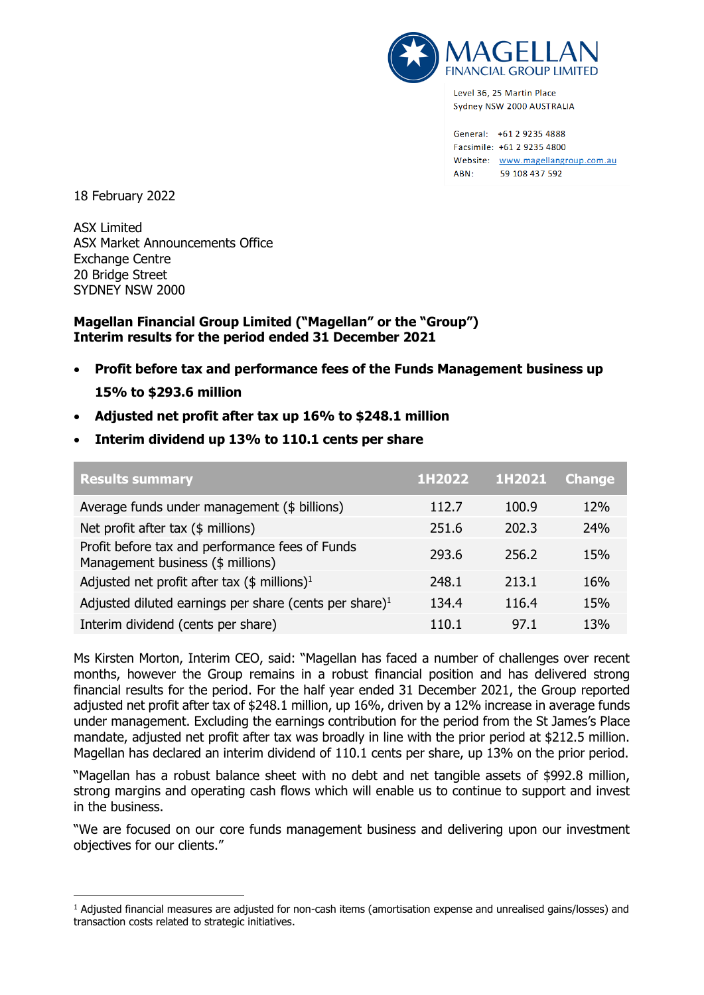

Level 36, 25 Martin Place Sydney NSW 2000 AUSTRALIA

General: +61 2 9235 4888 Facsimile: +61 2 9235 4800 Website: www.magellangroup.com.au ABN: 59 108 437 592

18 February 2022

ASX Limited ASX Market Announcements Office Exchange Centre 20 Bridge Street SYDNEY NSW 2000

## **Magellan Financial Group Limited ("Magellan" or the "Group") Interim results for the period ended 31 December 2021**

- **Profit before tax and performance fees of the Funds Management business up 15% to \$293.6 million**
- **Adjusted net profit after tax up 16% to \$248.1 million**
- **Interim dividend up 13% to 110.1 cents per share**

| <b>Results summary</b>                                                               | 1H2022 | 1H2021 | <b>Change</b> |
|--------------------------------------------------------------------------------------|--------|--------|---------------|
| Average funds under management (\$ billions)                                         | 112.7  | 100.9  | <b>12%</b>    |
| Net profit after tax (\$ millions)                                                   | 251.6  | 202.3  | 24%           |
| Profit before tax and performance fees of Funds<br>Management business (\$ millions) | 293.6  | 256.2  | 15%           |
| Adjusted net profit after tax $(\$$ millions) <sup>1</sup>                           | 248.1  | 213.1  | 16%           |
| Adjusted diluted earnings per share (cents per share) <sup>1</sup>                   | 134.4  | 116.4  | 15%           |
| Interim dividend (cents per share)                                                   | 110.1  | 97.1   | 13%           |

Ms Kirsten Morton, Interim CEO, said: "Magellan has faced a number of challenges over recent months, however the Group remains in a robust financial position and has delivered strong financial results for the period. For the half year ended 31 December 2021, the Group reported adjusted net profit after tax of \$248.1 million, up 16%, driven by a 12% increase in average funds under management. Excluding the earnings contribution for the period from the St James's Place mandate, adjusted net profit after tax was broadly in line with the prior period at \$212.5 million. Magellan has declared an interim dividend of 110.1 cents per share, up 13% on the prior period.

"Magellan has a robust balance sheet with no debt and net tangible assets of \$992.8 million, strong margins and operating cash flows which will enable us to continue to support and invest in the business.

"We are focused on our core funds management business and delivering upon our investment objectives for our clients."

<sup>1</sup> Adjusted financial measures are adjusted for non-cash items (amortisation expense and unrealised gains/losses) and transaction costs related to strategic initiatives.